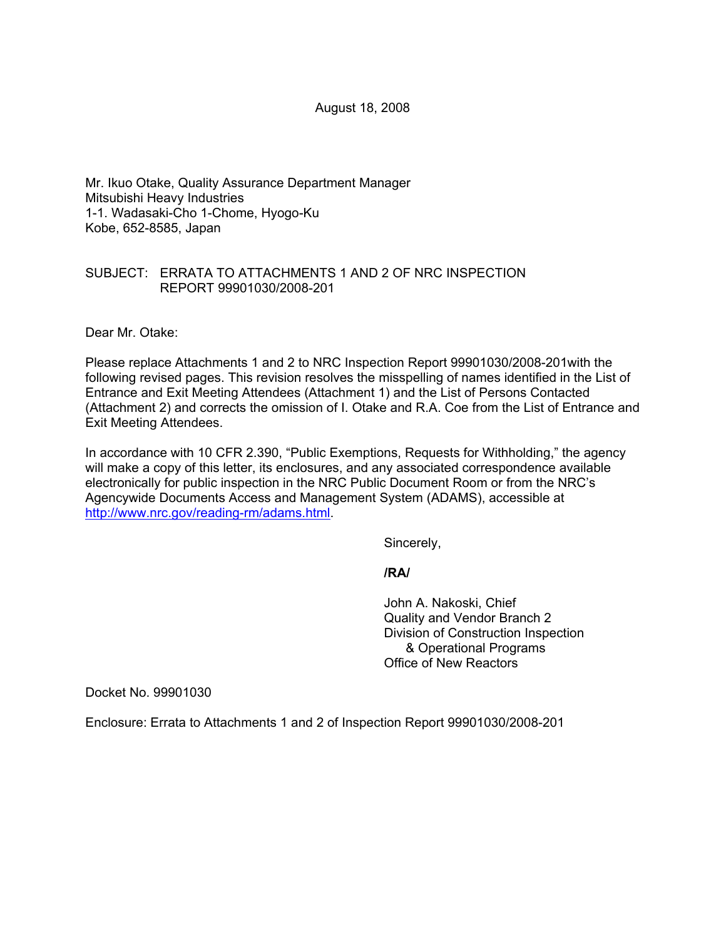August 18, 2008

Mr. Ikuo Otake, Quality Assurance Department Manager Mitsubishi Heavy Industries 1-1. Wadasaki-Cho 1-Chome, Hyogo-Ku Kobe, 652-8585, Japan

### SUBJECT: ERRATA TO ATTACHMENTS 1 AND 2 OF NRC INSPECTION REPORT 99901030/2008-201

Dear Mr. Otake:

Please replace Attachments 1 and 2 to NRC Inspection Report 99901030/2008-201with the following revised pages. This revision resolves the misspelling of names identified in the List of Entrance and Exit Meeting Attendees (Attachment 1) and the List of Persons Contacted (Attachment 2) and corrects the omission of I. Otake and R.A. Coe from the List of Entrance and Exit Meeting Attendees.

In accordance with 10 CFR 2.390, "Public Exemptions, Requests for Withholding," the agency will make a copy of this letter, its enclosures, and any associated correspondence available electronically for public inspection in the NRC Public Document Room or from the NRC's Agencywide Documents Access and Management System (ADAMS), accessible at http://www.nrc.gov/reading-rm/adams.html.

Sincerely,

**/RA/** 

John A. Nakoski, Chief Quality and Vendor Branch 2 Division of Construction Inspection & Operational Programs Office of New Reactors

Docket No. 99901030

Enclosure: Errata to Attachments 1 and 2 of Inspection Report 99901030/2008-201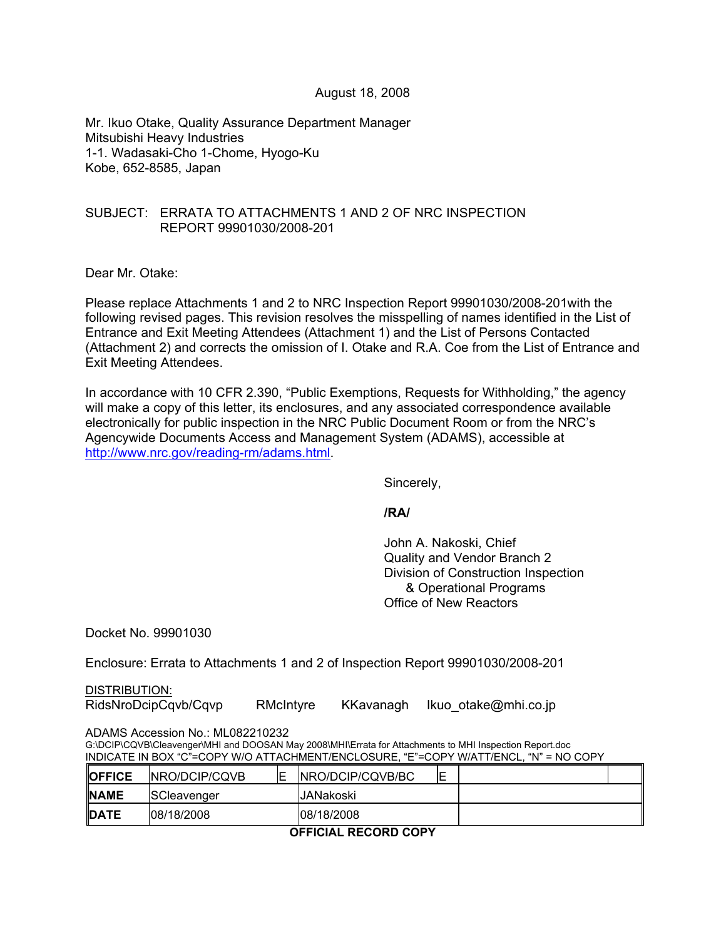#### August 18, 2008

Mr. Ikuo Otake, Quality Assurance Department Manager Mitsubishi Heavy Industries 1-1. Wadasaki-Cho 1-Chome, Hyogo-Ku Kobe, 652-8585, Japan

### SUBJECT: ERRATA TO ATTACHMENTS 1 AND 2 OF NRC INSPECTION REPORT 99901030/2008-201

Dear Mr. Otake:

Please replace Attachments 1 and 2 to NRC Inspection Report 99901030/2008-201with the following revised pages. This revision resolves the misspelling of names identified in the List of Entrance and Exit Meeting Attendees (Attachment 1) and the List of Persons Contacted (Attachment 2) and corrects the omission of I. Otake and R.A. Coe from the List of Entrance and Exit Meeting Attendees.

In accordance with 10 CFR 2.390, "Public Exemptions, Requests for Withholding," the agency will make a copy of this letter, its enclosures, and any associated correspondence available electronically for public inspection in the NRC Public Document Room or from the NRC's Agencywide Documents Access and Management System (ADAMS), accessible at http://www.nrc.gov/reading-rm/adams.html.

Sincerely,

**/RA/** 

John A. Nakoski, Chief Quality and Vendor Branch 2 Division of Construction Inspection & Operational Programs Office of New Reactors

Docket No. 99901030

Enclosure: Errata to Attachments 1 and 2 of Inspection Report 99901030/2008-201

DISTRIBUTION:

RidsNroDcipCqvb/Cqvp RMcIntyre KKavanagh Ikuo\_otake@mhi.co.jp

ADAMS Accession No.: ML082210232

G:\DCIP\CQVB\Cleavenger\MHI and DOOSAN May 2008\MHI\Errata for Attachments to MHI Inspection Report.doc INDICATE IN BOX "C"=COPY W/O ATTACHMENT/ENCLOSURE, "E"=COPY W/ATT/ENCL, "N" = NO COPY

| <b>OFFICE</b> | <b>INRO/DCIP/CQVB</b> | ⊏ | <b>INRO/DCIP/CQVB/BC</b> | −<br>⊫ |  |
|---------------|-----------------------|---|--------------------------|--------|--|
| <b>INAME</b>  | SCleavenger           |   | JANakoski                |        |  |
| <b>IDATE</b>  | 08/18/2008            |   | 108/18/2008              |        |  |

**OFFICIAL RECORD COPY**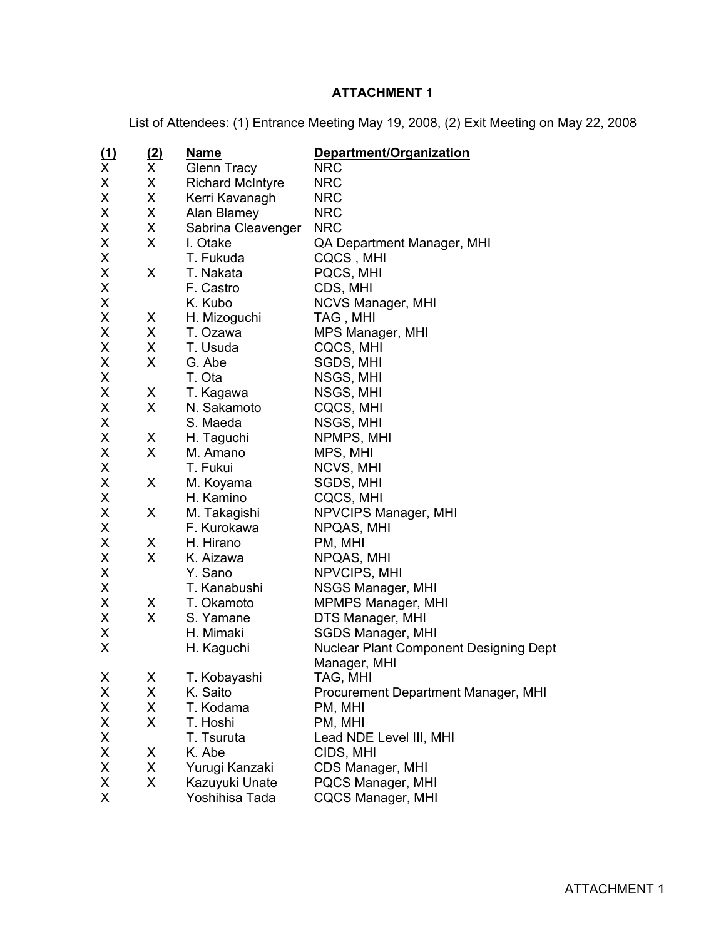# **ATTACHMENT 1**

List of Attendees: (1) Entrance Meeting May 19, 2008, (2) Exit Meeting on May 22, 2008

| <u>(1)</u>         | <u>(2)</u>   | <u>Name</u>             | Department/Organization                       |
|--------------------|--------------|-------------------------|-----------------------------------------------|
| $\overline{X}$     | $\mathsf{X}$ | <b>Glenn Tracy</b>      | <b>NRC</b>                                    |
| X                  | X            | <b>Richard McIntyre</b> | <b>NRC</b>                                    |
| X                  | X            | Kerri Kavanagh          | <b>NRC</b>                                    |
| X                  | X            | Alan Blamey             | <b>NRC</b>                                    |
| X                  | X            | Sabrina Cleavenger      | <b>NRC</b>                                    |
| X                  | X            | I. Otake                | QA Department Manager, MHI                    |
| X                  |              | T. Fukuda               | CQCS, MHI                                     |
| X                  | X            | T. Nakata               | PQCS, MHI                                     |
| X                  |              | F. Castro               | CDS, MHI                                      |
| X                  |              | K. Kubo                 | NCVS Manager, MHI                             |
| X                  | X            | H. Mizoguchi            | TAG, MHI                                      |
| X                  | X.           | T. Ozawa                | MPS Manager, MHI                              |
| X                  | X            | T. Usuda                | CQCS, MHI                                     |
| X                  | X            | G. Abe                  | SGDS, MHI                                     |
| X                  |              | T. Ota                  | NSGS, MHI                                     |
| X                  | X            | T. Kagawa               | NSGS, MHI                                     |
| X                  | X            | N. Sakamoto             | CQCS, MHI                                     |
| X                  |              | S. Maeda                | NSGS, MHI                                     |
| X                  | X            | H. Taguchi              | NPMPS, MHI                                    |
| X                  | X            | M. Amano                | MPS, MHI                                      |
| X                  |              | T. Fukui                | NCVS, MHI                                     |
| X                  | X            | M. Koyama               | SGDS, MHI                                     |
| X                  |              | H. Kamino               | CQCS, MHI                                     |
| X                  | X            | M. Takagishi            | NPVCIPS Manager, MHI                          |
| X                  |              | F. Kurokawa             | NPQAS, MHI                                    |
| X                  | X            | H. Hirano               | PM, MHI                                       |
| X                  | X            | K. Aizawa               | NPQAS, MHI                                    |
| X                  |              | Y. Sano                 | NPVCIPS, MHI                                  |
| X                  |              | T. Kanabushi            | NSGS Manager, MHI                             |
| X                  | X            | T. Okamoto              | <b>MPMPS Manager, MHI</b>                     |
| X                  | X            | S. Yamane               | DTS Manager, MHI                              |
| X                  |              | H. Mimaki               | <b>SGDS Manager, MHI</b>                      |
| X                  |              | H. Kaguchi              | <b>Nuclear Plant Component Designing Dept</b> |
|                    |              |                         | Manager, MHI                                  |
| $\pmb{\mathsf{X}}$ | X            | T. Kobayashi            | TAG, MHI                                      |
| X                  | X            | K. Saito                | Procurement Department Manager, MHI           |
| X                  | X            | T. Kodama               | PM, MHI                                       |
| X                  | X            | T. Hoshi                | PM, MHI                                       |
| X                  |              | T. Tsuruta              | Lead NDE Level III, MHI                       |
| X                  | X            | K. Abe                  | CIDS, MHI                                     |
| X                  | X            | Yurugi Kanzaki          | CDS Manager, MHI                              |
| X                  | X            | Kazuyuki Unate          | PQCS Manager, MHI                             |
| X                  |              | Yoshihisa Tada          | <b>CQCS Manager, MHI</b>                      |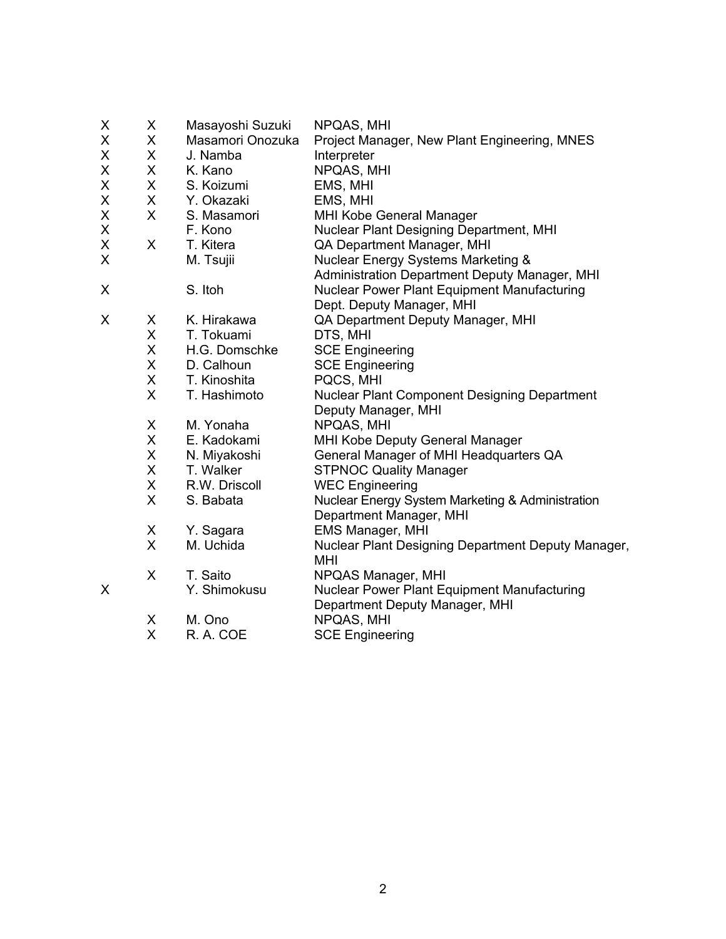| X | X            | Masayoshi Suzuki | NPQAS, MHI                                          |
|---|--------------|------------------|-----------------------------------------------------|
| Χ | X.           | Masamori Onozuka | Project Manager, New Plant Engineering, MNES        |
| Χ | X.           | J. Namba         | Interpreter                                         |
| Χ | X.           | K. Kano          | NPQAS, MHI                                          |
| Χ | $\mathsf{X}$ | S. Koizumi       | EMS, MHI                                            |
| X | X.           | Y. Okazaki       | EMS, MHI                                            |
| X | $\mathsf{X}$ | S. Masamori      | MHI Kobe General Manager                            |
| Χ |              | F. Kono          | <b>Nuclear Plant Designing Department, MHI</b>      |
| Χ | $\mathsf{X}$ | T. Kitera        | QA Department Manager, MHI                          |
| X |              | M. Tsujii        | Nuclear Energy Systems Marketing &                  |
|   |              |                  | Administration Department Deputy Manager, MHI       |
| X |              | S. Itoh          | <b>Nuclear Power Plant Equipment Manufacturing</b>  |
|   |              |                  | Dept. Deputy Manager, MHI                           |
| X | X            | K. Hirakawa      | QA Department Deputy Manager, MHI                   |
|   | X.           | T. Tokuami       | DTS, MHI                                            |
|   | X.           | H.G. Domschke    | <b>SCE Engineering</b>                              |
|   | X.           | D. Calhoun       | <b>SCE Engineering</b>                              |
|   | X.           | T. Kinoshita     | PQCS, MHI                                           |
|   | X            | T. Hashimoto     | <b>Nuclear Plant Component Designing Department</b> |
|   |              |                  | Deputy Manager, MHI                                 |
|   | X            | M. Yonaha        | NPQAS, MHI                                          |
|   | X.           | E. Kadokami      | MHI Kobe Deputy General Manager                     |
|   | X            | N. Miyakoshi     | General Manager of MHI Headquarters QA              |
|   | X            | T. Walker        | <b>STPNOC Quality Manager</b>                       |
|   | X            | R.W. Driscoll    | <b>WEC Engineering</b>                              |
|   | X            | S. Babata        | Nuclear Energy System Marketing & Administration    |
|   |              |                  | Department Manager, MHI                             |
|   | X            | Y. Sagara        | EMS Manager, MHI                                    |
|   | $\mathsf{X}$ | M. Uchida        | Nuclear Plant Designing Department Deputy Manager,  |
|   |              |                  | <b>MHI</b>                                          |
|   | X            | T. Saito         | NPQAS Manager, MHI                                  |
| X |              | Y. Shimokusu     | Nuclear Power Plant Equipment Manufacturing         |
|   |              |                  | Department Deputy Manager, MHI                      |
|   | X            | M. Ono           | NPQAS, MHI                                          |
|   | X            | R. A. COE        | <b>SCE Engineering</b>                              |